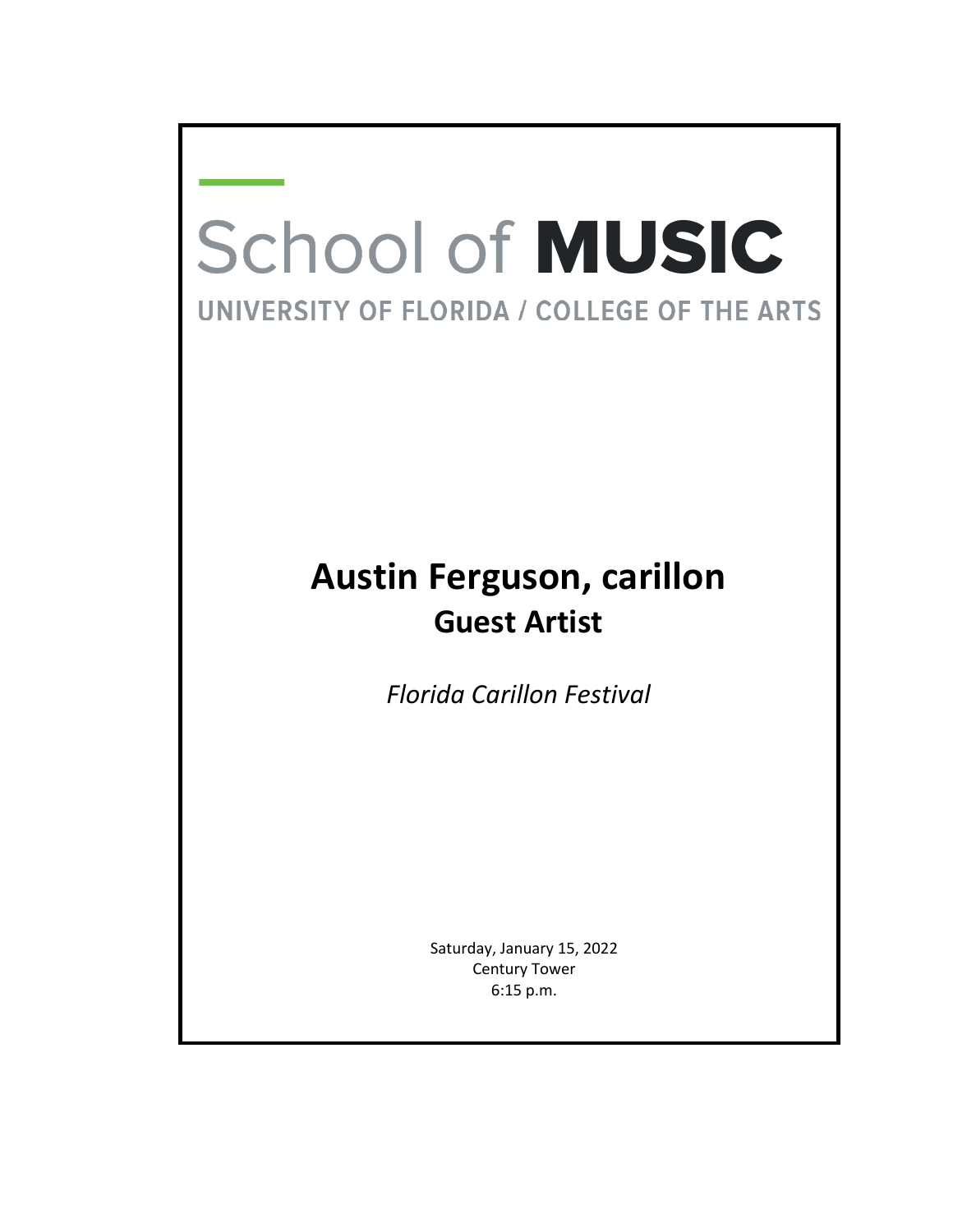## **School of MUSIC** UNIVERSITY OF FLORIDA / COLLEGE OF THE ARTS

## **Austin Ferguson, carillon Guest Artist**

*Florida Carillon Festival*

Saturday, January 15, 2022 Century Tower 6:15 p.m.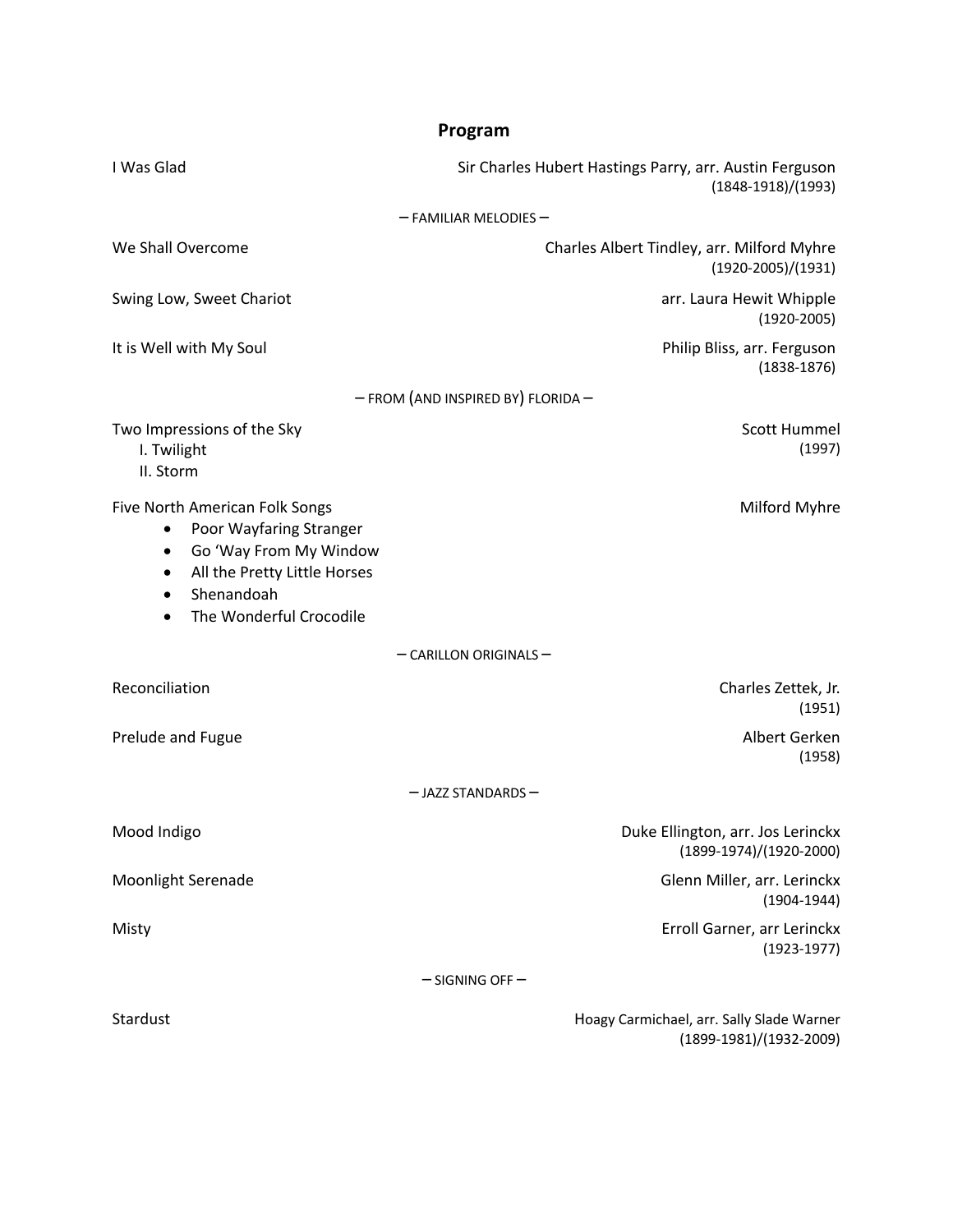| Program                                                                                                                                                                        |                                                                                 |
|--------------------------------------------------------------------------------------------------------------------------------------------------------------------------------|---------------------------------------------------------------------------------|
| I Was Glad                                                                                                                                                                     | Sir Charles Hubert Hastings Parry, arr. Austin Ferguson<br>$(1848-1918)/(1993)$ |
| $-$ FAMILIAR MELODIES $-$                                                                                                                                                      |                                                                                 |
| We Shall Overcome                                                                                                                                                              | Charles Albert Tindley, arr. Milford Myhre<br>$(1920-2005)/(1931)$              |
| Swing Low, Sweet Chariot                                                                                                                                                       | arr. Laura Hewit Whipple<br>$(1920 - 2005)$                                     |
| It is Well with My Soul                                                                                                                                                        | Philip Bliss, arr. Ferguson<br>$(1838 - 1876)$                                  |
| - FROM (AND INSPIRED BY) FLORIDA-                                                                                                                                              |                                                                                 |
| Two Impressions of the Sky<br>I. Twilight<br>II. Storm                                                                                                                         | Scott Hummel<br>(1997)                                                          |
| Five North American Folk Songs<br>Poor Wayfaring Stranger<br>٠<br>Go 'Way From My Window<br>$\bullet$<br>All the Pretty Little Horses<br>Shenandoah<br>The Wonderful Crocodile | Milford Myhre                                                                   |
| $-$ CARILLON ORIGINALS $-$                                                                                                                                                     |                                                                                 |
| Reconciliation                                                                                                                                                                 | Charles Zettek, Jr.<br>(1951)                                                   |
| Prelude and Fugue                                                                                                                                                              | Albert Gerken<br>(1958)                                                         |
| $-$ JAZZ STANDARDS $-$                                                                                                                                                         |                                                                                 |
| Mood Indigo                                                                                                                                                                    | Duke Ellington, arr. Jos Lerinckx<br>(1899-1974)/(1920-2000)                    |
| <b>Moonlight Serenade</b>                                                                                                                                                      | Glenn Miller, arr. Lerinckx<br>$(1904 - 1944)$                                  |
| Misty                                                                                                                                                                          | Erroll Garner, arr Lerinckx<br>$(1923 - 1977)$                                  |
| $-$ SIGNING OFF $-$                                                                                                                                                            |                                                                                 |
| Stardust                                                                                                                                                                       | Hoagy Carmichael, arr. Sally Slade Warner<br>(1899-1981)/(1932-2009)            |